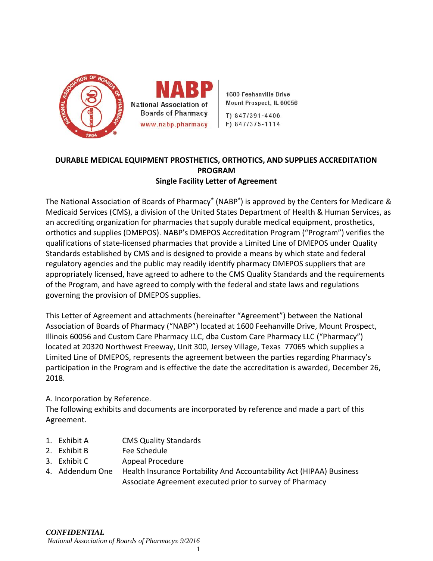

1600 Feehanville Drive Mount Prospect, IL 60056

T) 847/391-4406 F) 847/375-1114

# **DURABLE MEDICAL EQUIPMENT PROSTHETICS, ORTHOTICS, AND SUPPLIES ACCREDITATION PROGRAM Single Facility Letter of Agreement**

The National Association of Boards of Pharmacy<sup>®</sup> (NABP<sup>®</sup>) is approved by the Centers for Medicare & Medicaid Services (CMS), a division of the United States Department of Health & Human Services, as an accrediting organization for pharmacies that supply durable medical equipment, prosthetics, orthotics and supplies (DMEPOS). NABP's DMEPOS Accreditation Program ("Program") verifies the qualifications of state-licensed pharmacies that provide a Limited Line of DMEPOS under Quality Standards established by CMS and is designed to provide a means by which state and federal regulatory agencies and the public may readily identify pharmacy DMEPOS suppliers that are appropriately licensed, have agreed to adhere to the CMS Quality Standards and the requirements of the Program, and have agreed to comply with the federal and state laws and regulations governing the provision of DMEPOS supplies.

This Letter of Agreement and attachments (hereinafter "Agreement") between the National Association of Boards of Pharmacy ("NABP") located at 1600 Feehanville Drive, Mount Prospect, Illinois 60056 and Custom Care Pharmacy LLC, dba Custom Care Pharmacy LLC ("Pharmacy") located at 20320 Northwest Freeway, Unit 300, Jersey Village, Texas 77065 which supplies a Limited Line of DMEPOS, represents the agreement between the parties regarding Pharmacy's participation in the Program and is effective the date the accreditation is awarded, December 26, 2018.

A. Incorporation by Reference.

The following exhibits and documents are incorporated by reference and made a part of this Agreement.

- 1. Exhibit A CMS Quality Standards
- 2. Exhibit B Fee Schedule
- 3. Exhibit C Appeal Procedure
- 4. Addendum One Health Insurance Portability And Accountability Act (HIPAA) Business Associate Agreement executed prior to survey of Pharmacy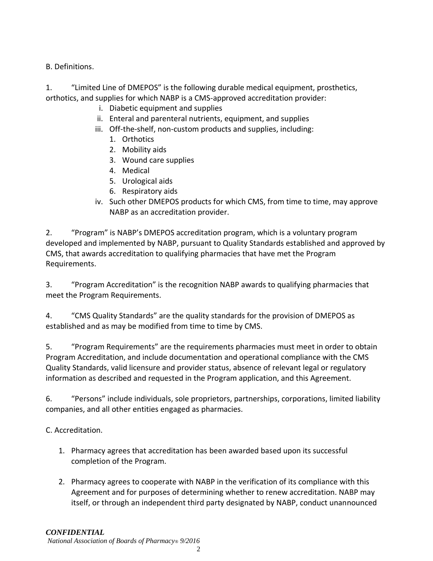# B. Definitions.

1. "Limited Line of DMEPOS" is the following durable medical equipment, prosthetics, orthotics, and supplies for which NABP is a CMS-approved accreditation provider:

- i. Diabetic equipment and supplies
- ii. Enteral and parenteral nutrients, equipment, and supplies
- iii. Off-the-shelf, non-custom products and supplies, including:
	- 1. Orthotics
	- 2. Mobility aids
	- 3. Wound care supplies
	- 4. Medical
	- 5. Urological aids
	- 6. Respiratory aids
- iv. Such other DMEPOS products for which CMS, from time to time, may approve NABP as an accreditation provider.

2. "Program" is NABP's DMEPOS accreditation program, which is a voluntary program developed and implemented by NABP, pursuant to Quality Standards established and approved by CMS, that awards accreditation to qualifying pharmacies that have met the Program Requirements.

3. "Program Accreditation" is the recognition NABP awards to qualifying pharmacies that meet the Program Requirements.

4. "CMS Quality Standards" are the quality standards for the provision of DMEPOS as established and as may be modified from time to time by CMS.

5. "Program Requirements" are the requirements pharmacies must meet in order to obtain Program Accreditation, and include documentation and operational compliance with the CMS Quality Standards, valid licensure and provider status, absence of relevant legal or regulatory information as described and requested in the Program application, and this Agreement.

6. "Persons" include individuals, sole proprietors, partnerships, corporations, limited liability companies, and all other entities engaged as pharmacies.

# C. Accreditation.

- 1. Pharmacy agrees that accreditation has been awarded based upon its successful completion of the Program.
- 2. Pharmacy agrees to cooperate with NABP in the verification of its compliance with this Agreement and for purposes of determining whether to renew accreditation. NABP may itself, or through an independent third party designated by NABP, conduct unannounced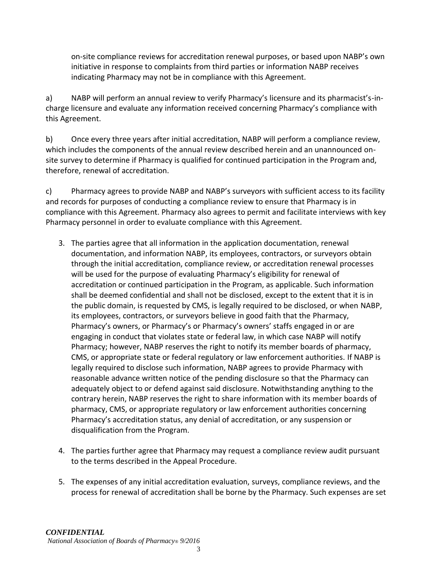on-site compliance reviews for accreditation renewal purposes, or based upon NABP's own initiative in response to complaints from third parties or information NABP receives indicating Pharmacy may not be in compliance with this Agreement.

a) NABP will perform an annual review to verify Pharmacy's licensure and its pharmacist's-incharge licensure and evaluate any information received concerning Pharmacy's compliance with this Agreement.

b) Once every three years after initial accreditation, NABP will perform a compliance review, which includes the components of the annual review described herein and an unannounced onsite survey to determine if Pharmacy is qualified for continued participation in the Program and, therefore, renewal of accreditation.

c) Pharmacy agrees to provide NABP and NABP's surveyors with sufficient access to its facility and records for purposes of conducting a compliance review to ensure that Pharmacy is in compliance with this Agreement. Pharmacy also agrees to permit and facilitate interviews with key Pharmacy personnel in order to evaluate compliance with this Agreement.

- 3. The parties agree that all information in the application documentation, renewal documentation, and information NABP, its employees, contractors, or surveyors obtain through the initial accreditation, compliance review, or accreditation renewal processes will be used for the purpose of evaluating Pharmacy's eligibility for renewal of accreditation or continued participation in the Program, as applicable. Such information shall be deemed confidential and shall not be disclosed, except to the extent that it is in the public domain, is requested by CMS, is legally required to be disclosed, or when NABP, its employees, contractors, or surveyors believe in good faith that the Pharmacy, Pharmacy's owners, or Pharmacy's or Pharmacy's owners' staffs engaged in or are engaging in conduct that violates state or federal law, in which case NABP will notify Pharmacy; however, NABP reserves the right to notify its member boards of pharmacy, CMS, or appropriate state or federal regulatory or law enforcement authorities. If NABP is legally required to disclose such information, NABP agrees to provide Pharmacy with reasonable advance written notice of the pending disclosure so that the Pharmacy can adequately object to or defend against said disclosure. Notwithstanding anything to the contrary herein, NABP reserves the right to share information with its member boards of pharmacy, CMS, or appropriate regulatory or law enforcement authorities concerning Pharmacy's accreditation status, any denial of accreditation, or any suspension or disqualification from the Program.
- 4. The parties further agree that Pharmacy may request a compliance review audit pursuant to the terms described in the Appeal Procedure.
- 5. The expenses of any initial accreditation evaluation, surveys, compliance reviews, and the process for renewal of accreditation shall be borne by the Pharmacy. Such expenses are set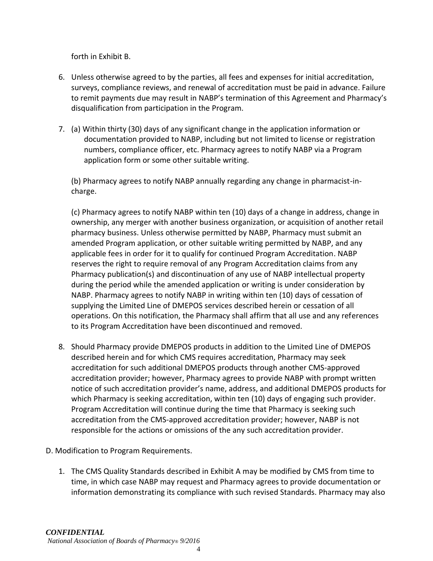forth in Exhibit B.

- 6. Unless otherwise agreed to by the parties, all fees and expenses for initial accreditation, surveys, compliance reviews, and renewal of accreditation must be paid in advance. Failure to remit payments due may result in NABP's termination of this Agreement and Pharmacy's disqualification from participation in the Program.
- 7. (a) Within thirty (30) days of any significant change in the application information or documentation provided to NABP, including but not limited to license or registration numbers, compliance officer, etc. Pharmacy agrees to notify NABP via a Program application form or some other suitable writing.

(b) Pharmacy agrees to notify NABP annually regarding any change in pharmacist-incharge.

(c) Pharmacy agrees to notify NABP within ten (10) days of a change in address, change in ownership, any merger with another business organization, or acquisition of another retail pharmacy business. Unless otherwise permitted by NABP, Pharmacy must submit an amended Program application, or other suitable writing permitted by NABP, and any applicable fees in order for it to qualify for continued Program Accreditation. NABP reserves the right to require removal of any Program Accreditation claims from any Pharmacy publication(s) and discontinuation of any use of NABP intellectual property during the period while the amended application or writing is under consideration by NABP. Pharmacy agrees to notify NABP in writing within ten (10) days of cessation of supplying the Limited Line of DMEPOS services described herein or cessation of all operations. On this notification, the Pharmacy shall affirm that all use and any references to its Program Accreditation have been discontinued and removed.

- 8. Should Pharmacy provide DMEPOS products in addition to the Limited Line of DMEPOS described herein and for which CMS requires accreditation, Pharmacy may seek accreditation for such additional DMEPOS products through another CMS-approved accreditation provider; however, Pharmacy agrees to provide NABP with prompt written notice of such accreditation provider's name, address, and additional DMEPOS products for which Pharmacy is seeking accreditation, within ten (10) days of engaging such provider. Program Accreditation will continue during the time that Pharmacy is seeking such accreditation from the CMS-approved accreditation provider; however, NABP is not responsible for the actions or omissions of the any such accreditation provider.
- D. Modification to Program Requirements.
	- 1. The CMS Quality Standards described in Exhibit A may be modified by CMS from time to time, in which case NABP may request and Pharmacy agrees to provide documentation or information demonstrating its compliance with such revised Standards. Pharmacy may also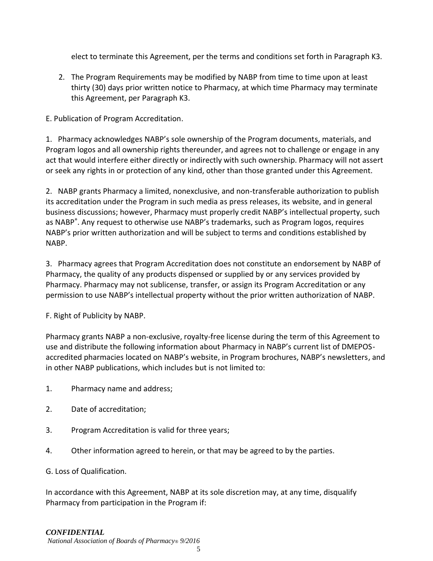elect to terminate this Agreement, per the terms and conditions set forth in Paragraph K3.

2. The Program Requirements may be modified by NABP from time to time upon at least thirty (30) days prior written notice to Pharmacy, at which time Pharmacy may terminate this Agreement, per Paragraph K3.

E. Publication of Program Accreditation.

1. Pharmacy acknowledges NABP's sole ownership of the Program documents, materials, and Program logos and all ownership rights thereunder, and agrees not to challenge or engage in any act that would interfere either directly or indirectly with such ownership. Pharmacy will not assert or seek any rights in or protection of any kind, other than those granted under this Agreement.

2. NABP grants Pharmacy a limited, nonexclusive, and non-transferable authorization to publish its accreditation under the Program in such media as press releases, its website, and in general business discussions; however, Pharmacy must properly credit NABP's intellectual property, such as NABP<sup>®</sup>. Any request to otherwise use NABP's trademarks, such as Program logos, requires NABP's prior written authorization and will be subject to terms and conditions established by NABP.

3. Pharmacy agrees that Program Accreditation does not constitute an endorsement by NABP of Pharmacy, the quality of any products dispensed or supplied by or any services provided by Pharmacy. Pharmacy may not sublicense, transfer, or assign its Program Accreditation or any permission to use NABP's intellectual property without the prior written authorization of NABP.

F. Right of Publicity by NABP.

Pharmacy grants NABP a non-exclusive, royalty-free license during the term of this Agreement to use and distribute the following information about Pharmacy in NABP's current list of DMEPOSaccredited pharmacies located on NABP's website, in Program brochures, NABP's newsletters, and in other NABP publications, which includes but is not limited to:

- 1. Pharmacy name and address;
- 2. Date of accreditation;
- 3. Program Accreditation is valid for three years;
- 4. Other information agreed to herein, or that may be agreed to by the parties.
- G. Loss of Qualification.

In accordance with this Agreement, NABP at its sole discretion may, at any time, disqualify Pharmacy from participation in the Program if:

#### *CONFIDENTIAL*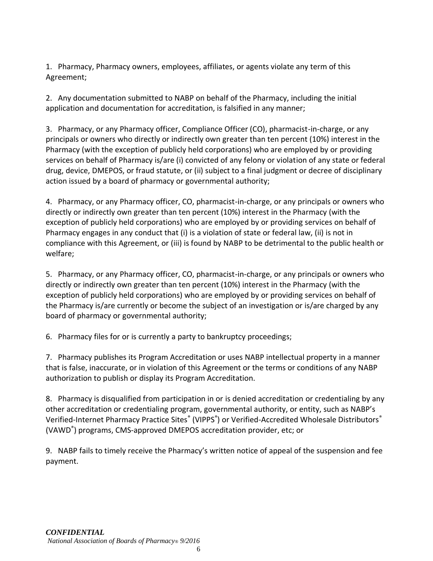1. Pharmacy, Pharmacy owners, employees, affiliates, or agents violate any term of this Agreement;

2. Any documentation submitted to NABP on behalf of the Pharmacy, including the initial application and documentation for accreditation, is falsified in any manner;

3. Pharmacy, or any Pharmacy officer, Compliance Officer (CO), pharmacist-in-charge, or any principals or owners who directly or indirectly own greater than ten percent (10%) interest in the Pharmacy (with the exception of publicly held corporations) who are employed by or providing services on behalf of Pharmacy is/are (i) convicted of any felony or violation of any state or federal drug, device, DMEPOS, or fraud statute, or (ii) subject to a final judgment or decree of disciplinary action issued by a board of pharmacy or governmental authority;

4. Pharmacy, or any Pharmacy officer, CO, pharmacist-in-charge, or any principals or owners who directly or indirectly own greater than ten percent (10%) interest in the Pharmacy (with the exception of publicly held corporations) who are employed by or providing services on behalf of Pharmacy engages in any conduct that (i) is a violation of state or federal law, (ii) is not in compliance with this Agreement, or (iii) is found by NABP to be detrimental to the public health or welfare;

5. Pharmacy, or any Pharmacy officer, CO, pharmacist-in-charge, or any principals or owners who directly or indirectly own greater than ten percent (10%) interest in the Pharmacy (with the exception of publicly held corporations) who are employed by or providing services on behalf of the Pharmacy is/are currently or become the subject of an investigation or is/are charged by any board of pharmacy or governmental authority;

6. Pharmacy files for or is currently a party to bankruptcy proceedings;

7. Pharmacy publishes its Program Accreditation or uses NABP intellectual property in a manner that is false, inaccurate, or in violation of this Agreement or the terms or conditions of any NABP authorization to publish or display its Program Accreditation.

8. Pharmacy is disqualified from participation in or is denied accreditation or credentialing by any other accreditation or credentialing program, governmental authority, or entity, such as NABP's Verified-Internet Pharmacy Practice Sites® (VIPPS®) or Verified-Accredited Wholesale Distributors® (VAWD® ) programs, CMS-approved DMEPOS accreditation provider, etc; or

9. NABP fails to timely receive the Pharmacy's written notice of appeal of the suspension and fee payment.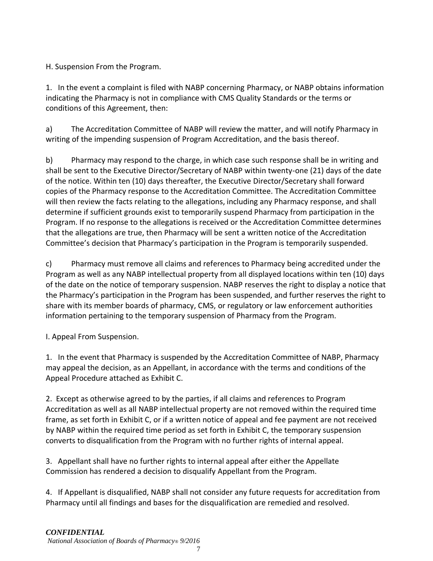H. Suspension From the Program.

1. In the event a complaint is filed with NABP concerning Pharmacy, or NABP obtains information indicating the Pharmacy is not in compliance with CMS Quality Standards or the terms or conditions of this Agreement, then:

a) The Accreditation Committee of NABP will review the matter, and will notify Pharmacy in writing of the impending suspension of Program Accreditation, and the basis thereof.

b) Pharmacy may respond to the charge, in which case such response shall be in writing and shall be sent to the Executive Director/Secretary of NABP within twenty-one (21) days of the date of the notice. Within ten (10) days thereafter, the Executive Director/Secretary shall forward copies of the Pharmacy response to the Accreditation Committee. The Accreditation Committee will then review the facts relating to the allegations, including any Pharmacy response, and shall determine if sufficient grounds exist to temporarily suspend Pharmacy from participation in the Program. If no response to the allegations is received or the Accreditation Committee determines that the allegations are true, then Pharmacy will be sent a written notice of the Accreditation Committee's decision that Pharmacy's participation in the Program is temporarily suspended.

c) Pharmacy must remove all claims and references to Pharmacy being accredited under the Program as well as any NABP intellectual property from all displayed locations within ten (10) days of the date on the notice of temporary suspension. NABP reserves the right to display a notice that the Pharmacy's participation in the Program has been suspended, and further reserves the right to share with its member boards of pharmacy, CMS, or regulatory or law enforcement authorities information pertaining to the temporary suspension of Pharmacy from the Program.

I. Appeal From Suspension.

1. In the event that Pharmacy is suspended by the Accreditation Committee of NABP, Pharmacy may appeal the decision, as an Appellant, in accordance with the terms and conditions of the Appeal Procedure attached as Exhibit C.

2. Except as otherwise agreed to by the parties, if all claims and references to Program Accreditation as well as all NABP intellectual property are not removed within the required time frame, as set forth in Exhibit C, or if a written notice of appeal and fee payment are not received by NABP within the required time period as set forth in Exhibit C, the temporary suspension converts to disqualification from the Program with no further rights of internal appeal.

3. Appellant shall have no further rights to internal appeal after either the Appellate Commission has rendered a decision to disqualify Appellant from the Program.

4. If Appellant is disqualified, NABP shall not consider any future requests for accreditation from Pharmacy until all findings and bases for the disqualification are remedied and resolved.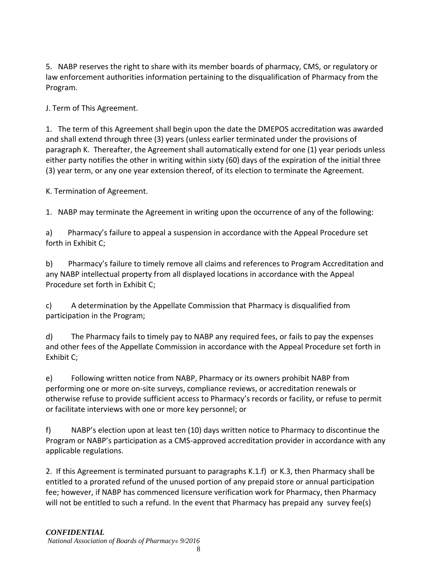5. NABP reserves the right to share with its member boards of pharmacy, CMS, or regulatory or law enforcement authorities information pertaining to the disqualification of Pharmacy from the Program.

J. Term of This Agreement.

1. The term of this Agreement shall begin upon the date the DMEPOS accreditation was awarded and shall extend through three (3) years (unless earlier terminated under the provisions of paragraph K. Thereafter, the Agreement shall automatically extend for one (1) year periods unless either party notifies the other in writing within sixty (60) days of the expiration of the initial three (3) year term, or any one year extension thereof, of its election to terminate the Agreement.

K. Termination of Agreement.

1. NABP may terminate the Agreement in writing upon the occurrence of any of the following:

a) Pharmacy's failure to appeal a suspension in accordance with the Appeal Procedure set forth in Exhibit C;

b) Pharmacy's failure to timely remove all claims and references to Program Accreditation and any NABP intellectual property from all displayed locations in accordance with the Appeal Procedure set forth in Exhibit C;

c) A determination by the Appellate Commission that Pharmacy is disqualified from participation in the Program;

d) The Pharmacy fails to timely pay to NABP any required fees, or fails to pay the expenses and other fees of the Appellate Commission in accordance with the Appeal Procedure set forth in Exhibit C;

e) Following written notice from NABP, Pharmacy or its owners prohibit NABP from performing one or more on-site surveys, compliance reviews, or accreditation renewals or otherwise refuse to provide sufficient access to Pharmacy's records or facility, or refuse to permit or facilitate interviews with one or more key personnel; or

f) NABP's election upon at least ten (10) days written notice to Pharmacy to discontinue the Program or NABP's participation as a CMS-approved accreditation provider in accordance with any applicable regulations.

2. If this Agreement is terminated pursuant to paragraphs K.1.f) or K.3, then Pharmacy shall be entitled to a prorated refund of the unused portion of any prepaid store or annual participation fee; however, if NABP has commenced licensure verification work for Pharmacy, then Pharmacy will not be entitled to such a refund. In the event that Pharmacy has prepaid any survey fee(s)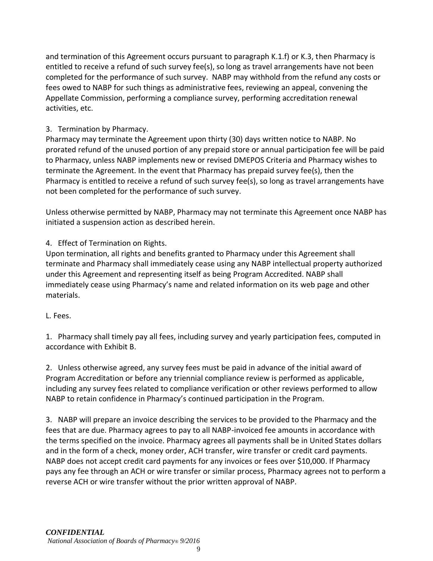and termination of this Agreement occurs pursuant to paragraph K.1.f) or K.3, then Pharmacy is entitled to receive a refund of such survey fee(s), so long as travel arrangements have not been completed for the performance of such survey. NABP may withhold from the refund any costs or fees owed to NABP for such things as administrative fees, reviewing an appeal, convening the Appellate Commission, performing a compliance survey, performing accreditation renewal activities, etc.

# 3. Termination by Pharmacy.

Pharmacy may terminate the Agreement upon thirty (30) days written notice to NABP. No prorated refund of the unused portion of any prepaid store or annual participation fee will be paid to Pharmacy, unless NABP implements new or revised DMEPOS Criteria and Pharmacy wishes to terminate the Agreement. In the event that Pharmacy has prepaid survey fee(s), then the Pharmacy is entitled to receive a refund of such survey fee(s), so long as travel arrangements have not been completed for the performance of such survey.

Unless otherwise permitted by NABP, Pharmacy may not terminate this Agreement once NABP has initiated a suspension action as described herein.

# 4. Effect of Termination on Rights.

Upon termination, all rights and benefits granted to Pharmacy under this Agreement shall terminate and Pharmacy shall immediately cease using any NABP intellectual property authorized under this Agreement and representing itself as being Program Accredited. NABP shall immediately cease using Pharmacy's name and related information on its web page and other materials.

# L. Fees.

1. Pharmacy shall timely pay all fees, including survey and yearly participation fees, computed in accordance with Exhibit B.

2. Unless otherwise agreed, any survey fees must be paid in advance of the initial award of Program Accreditation or before any triennial compliance review is performed as applicable, including any survey fees related to compliance verification or other reviews performed to allow NABP to retain confidence in Pharmacy's continued participation in the Program.

3. NABP will prepare an invoice describing the services to be provided to the Pharmacy and the fees that are due. Pharmacy agrees to pay to all NABP-invoiced fee amounts in accordance with the terms specified on the invoice. Pharmacy agrees all payments shall be in United States dollars and in the form of a check, money order, ACH transfer, wire transfer or credit card payments. NABP does not accept credit card payments for any invoices or fees over \$10,000. If Pharmacy pays any fee through an ACH or wire transfer or similar process, Pharmacy agrees not to perform a reverse ACH or wire transfer without the prior written approval of NABP.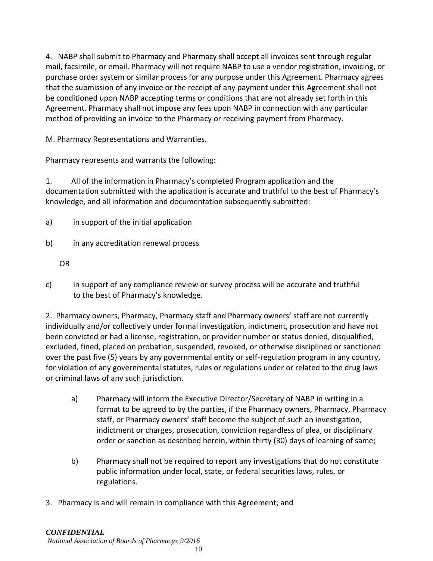4. NABP shall submit to Pharmacy and Pharmacy shall accept all invoices sent through regular mail, facsimile, or email. Pharmacy will not require NABP to use a vendor registration, invoicing, or purchase order system or similar process for any purpose under this Agreement. Pharmacy agrees that the submission of any invoice or the receipt of any payment under this Agreement shall not be conditioned upon NABP accepting terms or conditions that are not already set forth in this Agreement. Pharmacy shall not impose any fees upon NABP in connection with any particular method of providing an invoice to the Pharmacy or receiving payment from Pharmacy.

M. Pharmacy Representations and Warranties.

Pharmacy represents and warrants the following:

1. All of the information in Pharmacy's completed Program application and the documentation submitted with the application is accurate and truthful to the best of Pharmacy's knowledge, and all information and documentation subsequently submitted:

- a) in support of the initial application
- b) in any accreditation renewal process

OR

c) in support of any compliance review or survey process will be accurate and truthful to the best of Pharmacy's knowledge.

2. Pharmacy owners, Pharmacy, Pharmacy staff and Pharmacy owners' staff are not currently individually and/or collectively under formal investigation, indictment, prosecution and have not been convicted or had a license, registration, or provider number or status denied, disqualified, excluded, fined, placed on probation, suspended, revoked, or otherwise disciplined or sanctioned over the past five (5) years by any governmental entity or self-regulation program in any country, for violation of any governmental statutes, rules or regulations under or related to the drug laws or criminal laws of any such jurisdiction.

- a) Pharmacy will inform the Executive Director/Secretary of NABP in writing in a format to be agreed to by the parties, if the Pharmacy owners, Pharmacy, Pharmacy staff, or Pharmacy owners' staff become the subject of such an investigation, indictment or charges, prosecution, conviction regardless of plea, or disciplinary order or sanction as described herein, within thirty (30) days of learning of same;
- b) Pharmacy shall not be required to report any investigations that do not constitute public information under local, state, or federal securities laws, rules, or regulations.
- 3. Pharmacy is and will remain in compliance with this Agreement; and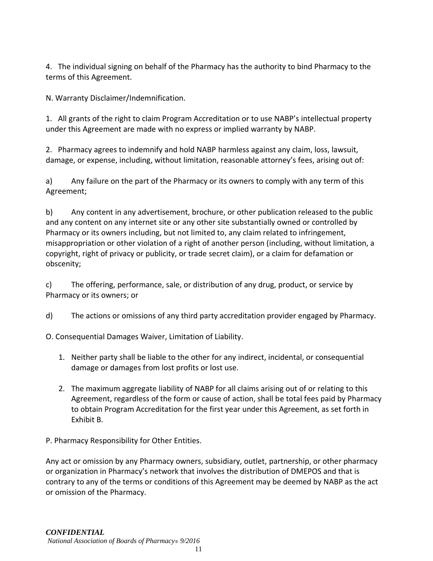4. The individual signing on behalf of the Pharmacy has the authority to bind Pharmacy to the terms of this Agreement.

N. Warranty Disclaimer/Indemnification.

1. All grants of the right to claim Program Accreditation or to use NABP's intellectual property under this Agreement are made with no express or implied warranty by NABP.

2. Pharmacy agrees to indemnify and hold NABP harmless against any claim, loss, lawsuit, damage, or expense, including, without limitation, reasonable attorney's fees, arising out of:

a) Any failure on the part of the Pharmacy or its owners to comply with any term of this Agreement;

b) Any content in any advertisement, brochure, or other publication released to the public and any content on any internet site or any other site substantially owned or controlled by Pharmacy or its owners including, but not limited to, any claim related to infringement, misappropriation or other violation of a right of another person (including, without limitation, a copyright, right of privacy or publicity, or trade secret claim), or a claim for defamation or obscenity;

c) The offering, performance, sale, or distribution of any drug, product, or service by Pharmacy or its owners; or

d) The actions or omissions of any third party accreditation provider engaged by Pharmacy.

O. Consequential Damages Waiver, Limitation of Liability.

- 1. Neither party shall be liable to the other for any indirect, incidental, or consequential damage or damages from lost profits or lost use.
- 2. The maximum aggregate liability of NABP for all claims arising out of or relating to this Agreement, regardless of the form or cause of action, shall be total fees paid by Pharmacy to obtain Program Accreditation for the first year under this Agreement, as set forth in Exhibit B.

P. Pharmacy Responsibility for Other Entities.

Any act or omission by any Pharmacy owners, subsidiary, outlet, partnership, or other pharmacy or organization in Pharmacy's network that involves the distribution of DMEPOS and that is contrary to any of the terms or conditions of this Agreement may be deemed by NABP as the act or omission of the Pharmacy.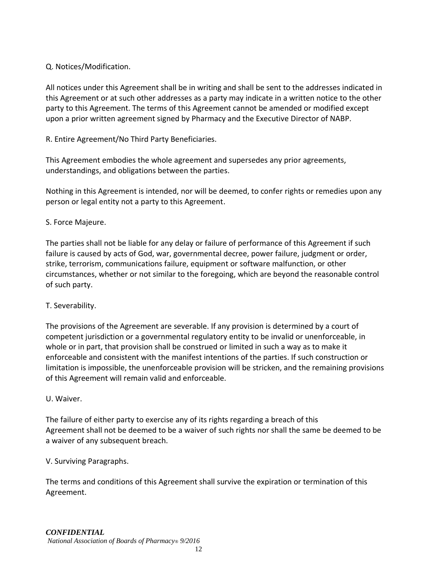# Q. Notices/Modification.

All notices under this Agreement shall be in writing and shall be sent to the addresses indicated in this Agreement or at such other addresses as a party may indicate in a written notice to the other party to this Agreement. The terms of this Agreement cannot be amended or modified except upon a prior written agreement signed by Pharmacy and the Executive Director of NABP.

R. Entire Agreement/No Third Party Beneficiaries.

This Agreement embodies the whole agreement and supersedes any prior agreements, understandings, and obligations between the parties.

Nothing in this Agreement is intended, nor will be deemed, to confer rights or remedies upon any person or legal entity not a party to this Agreement.

# S. Force Majeure.

The parties shall not be liable for any delay or failure of performance of this Agreement if such failure is caused by acts of God, war, governmental decree, power failure, judgment or order, strike, terrorism, communications failure, equipment or software malfunction, or other circumstances, whether or not similar to the foregoing, which are beyond the reasonable control of such party.

# T. Severability.

The provisions of the Agreement are severable. If any provision is determined by a court of competent jurisdiction or a governmental regulatory entity to be invalid or unenforceable, in whole or in part, that provision shall be construed or limited in such a way as to make it enforceable and consistent with the manifest intentions of the parties. If such construction or limitation is impossible, the unenforceable provision will be stricken, and the remaining provisions of this Agreement will remain valid and enforceable.

# U. Waiver.

The failure of either party to exercise any of its rights regarding a breach of this Agreement shall not be deemed to be a waiver of such rights nor shall the same be deemed to be a waiver of any subsequent breach.

# V. Surviving Paragraphs.

The terms and conditions of this Agreement shall survive the expiration or termination of this Agreement.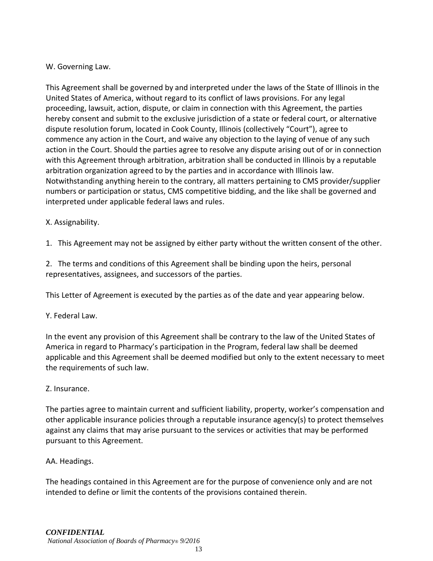# W. Governing Law.

This Agreement shall be governed by and interpreted under the laws of the State of Illinois in the United States of America, without regard to its conflict of laws provisions. For any legal proceeding, lawsuit, action, dispute, or claim in connection with this Agreement, the parties hereby consent and submit to the exclusive jurisdiction of a state or federal court, or alternative dispute resolution forum, located in Cook County, Illinois (collectively "Court"), agree to commence any action in the Court, and waive any objection to the laying of venue of any such action in the Court. Should the parties agree to resolve any dispute arising out of or in connection with this Agreement through arbitration, arbitration shall be conducted in Illinois by a reputable arbitration organization agreed to by the parties and in accordance with Illinois law. Notwithstanding anything herein to the contrary, all matters pertaining to CMS provider/supplier numbers or participation or status, CMS competitive bidding, and the like shall be governed and interpreted under applicable federal laws and rules.

# X. Assignability.

1. This Agreement may not be assigned by either party without the written consent of the other.

2. The terms and conditions of this Agreement shall be binding upon the heirs, personal representatives, assignees, and successors of the parties.

This Letter of Agreement is executed by the parties as of the date and year appearing below.

# Y. Federal Law.

In the event any provision of this Agreement shall be contrary to the law of the United States of America in regard to Pharmacy's participation in the Program, federal law shall be deemed applicable and this Agreement shall be deemed modified but only to the extent necessary to meet the requirements of such law.

# Z. Insurance.

The parties agree to maintain current and sufficient liability, property, worker's compensation and other applicable insurance policies through a reputable insurance agency(s) to protect themselves against any claims that may arise pursuant to the services or activities that may be performed pursuant to this Agreement.

# AA. Headings.

The headings contained in this Agreement are for the purpose of convenience only and are not intended to define or limit the contents of the provisions contained therein.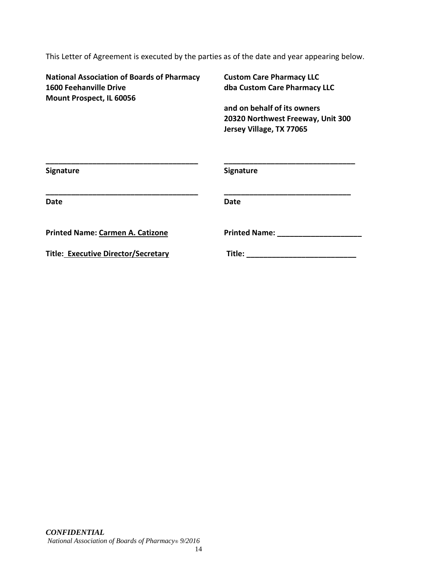This Letter of Agreement is executed by the parties as of the date and year appearing below.

**National Association of Boards of Pharmacy Custom Care Pharmacy LLC 1600 Feehanville Drive dba Custom Care Pharmacy LLC Mount Prospect, IL 60056**

**and on behalf of its owners 20320 Northwest Freeway, Unit 300 Jersey Village, TX 77065**

| <b>Signature</b>                        | <b>Signature</b>     |
|-----------------------------------------|----------------------|
| <b>Date</b>                             | <b>Date</b>          |
| <b>Printed Name: Carmen A. Catizone</b> | <b>Printed Name:</b> |
| Title: Executive Director/Secretary     | Title:               |
|                                         |                      |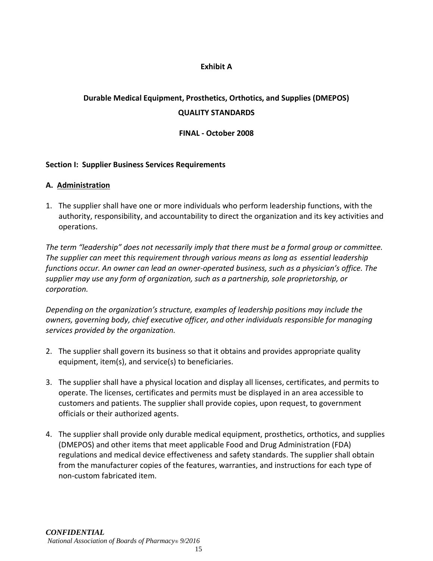#### **Exhibit A**

# **Durable Medical Equipment, Prosthetics, Orthotics, and Supplies (DMEPOS) QUALITY STANDARDS**

#### **FINAL - October 2008**

#### **Section I: Supplier Business Services Requirements**

#### **A. Administration**

1. The supplier shall have one or more individuals who perform leadership functions, with the authority, responsibility, and accountability to direct the organization and its key activities and operations.

*The term "leadership" does not necessarily imply that there must be a formal group or committee. The supplier can meet this requirement through various means as long as essential leadership functions occur. An owner can lead an owner-operated business, such as a physician's office. The supplier may use any form of organization, such as a partnership, sole proprietorship, or corporation.*

*Depending on the organization's structure, examples of leadership positions may include the owners, governing body, chief executive officer, and other individuals responsible for managing services provided by the organization.*

- 2. The supplier shall govern its business so that it obtains and provides appropriate quality equipment, item(s), and service(s) to beneficiaries.
- 3. The supplier shall have a physical location and display all licenses, certificates, and permits to operate. The licenses, certificates and permits must be displayed in an area accessible to customers and patients. The supplier shall provide copies, upon request, to government officials or their authorized agents.
- 4. The supplier shall provide only durable medical equipment, prosthetics, orthotics, and supplies (DMEPOS) and other items that meet applicable Food and Drug Administration (FDA) regulations and medical device effectiveness and safety standards. The supplier shall obtain from the manufacturer copies of the features, warranties, and instructions for each type of non-custom fabricated item.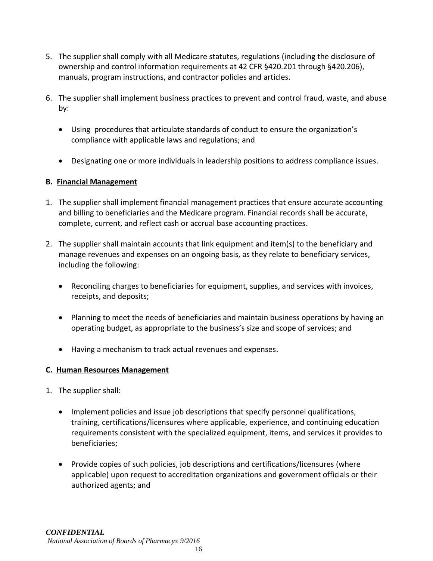- 5. The supplier shall comply with all Medicare statutes, regulations (including the disclosure of ownership and control information requirements at 42 CFR §420.201 through §420.206), manuals, program instructions, and contractor policies and articles.
- 6. The supplier shall implement business practices to prevent and control fraud, waste, and abuse by:
	- Using procedures that articulate standards of conduct to ensure the organization's compliance with applicable laws and regulations; and
	- Designating one or more individuals in leadership positions to address compliance issues.

# **B. Financial Management**

- 1. The supplier shall implement financial management practices that ensure accurate accounting and billing to beneficiaries and the Medicare program. Financial records shall be accurate, complete, current, and reflect cash or accrual base accounting practices.
- 2. The supplier shall maintain accounts that link equipment and item(s) to the beneficiary and manage revenues and expenses on an ongoing basis, as they relate to beneficiary services, including the following:
	- Reconciling charges to beneficiaries for equipment, supplies, and services with invoices, receipts, and deposits;
	- Planning to meet the needs of beneficiaries and maintain business operations by having an operating budget, as appropriate to the business's size and scope of services; and
	- Having a mechanism to track actual revenues and expenses.

# **C. Human Resources Management**

- 1. The supplier shall:
	- Implement policies and issue job descriptions that specify personnel qualifications, training, certifications/licensures where applicable, experience, and continuing education requirements consistent with the specialized equipment, items, and services it provides to beneficiaries;
	- Provide copies of such policies, job descriptions and certifications/licensures (where applicable) upon request to accreditation organizations and government officials or their authorized agents; and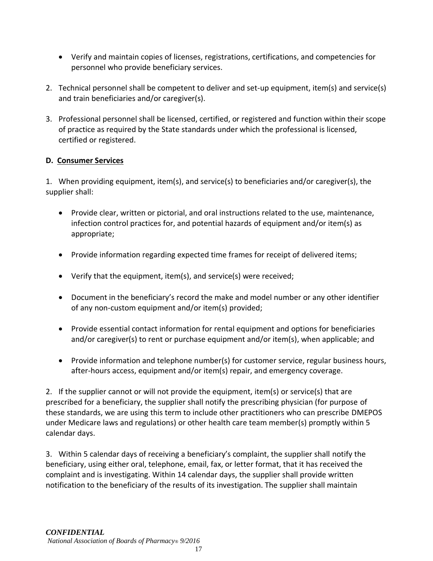- Verify and maintain copies of licenses, registrations, certifications, and competencies for personnel who provide beneficiary services.
- 2. Technical personnel shall be competent to deliver and set-up equipment, item(s) and service(s) and train beneficiaries and/or caregiver(s).
- 3. Professional personnel shall be licensed, certified, or registered and function within their scope of practice as required by the State standards under which the professional is licensed, certified or registered.

# **D. Consumer Services**

1. When providing equipment, item(s), and service(s) to beneficiaries and/or caregiver(s), the supplier shall:

- Provide clear, written or pictorial, and oral instructions related to the use, maintenance, infection control practices for, and potential hazards of equipment and/or item(s) as appropriate;
- Provide information regarding expected time frames for receipt of delivered items;
- Verify that the equipment, item(s), and service(s) were received;
- Document in the beneficiary's record the make and model number or any other identifier of any non-custom equipment and/or item(s) provided;
- Provide essential contact information for rental equipment and options for beneficiaries and/or caregiver(s) to rent or purchase equipment and/or item(s), when applicable; and
- Provide information and telephone number(s) for customer service, regular business hours, after-hours access, equipment and/or item(s) repair, and emergency coverage.

2. If the supplier cannot or will not provide the equipment, item(s) or service(s) that are prescribed for a beneficiary, the supplier shall notify the prescribing physician (for purpose of these standards, we are using this term to include other practitioners who can prescribe DMEPOS under Medicare laws and regulations) or other health care team member(s) promptly within 5 calendar days.

3. Within 5 calendar days of receiving a beneficiary's complaint, the supplier shall notify the beneficiary, using either oral, telephone, email, fax, or letter format, that it has received the complaint and is investigating. Within 14 calendar days, the supplier shall provide written notification to the beneficiary of the results of its investigation. The supplier shall maintain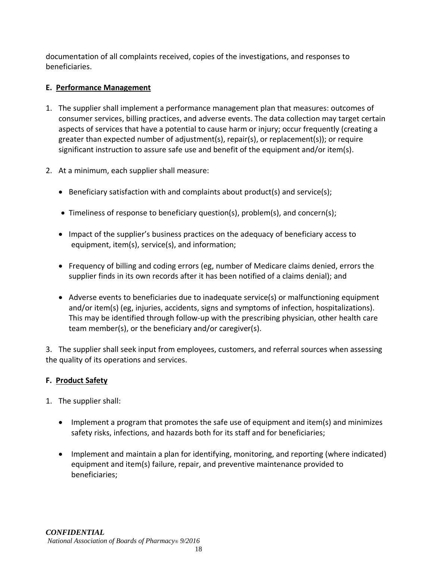documentation of all complaints received, copies of the investigations, and responses to beneficiaries.

# **E. Performance Management**

- 1. The supplier shall implement a performance management plan that measures: outcomes of consumer services, billing practices, and adverse events. The data collection may target certain aspects of services that have a potential to cause harm or injury; occur frequently (creating a greater than expected number of adjustment(s), repair(s), or replacement(s)); or require significant instruction to assure safe use and benefit of the equipment and/or item(s).
- 2. At a minimum, each supplier shall measure:
	- Beneficiary satisfaction with and complaints about product(s) and service(s);
	- Timeliness of response to beneficiary question(s), problem(s), and concern(s);
	- Impact of the supplier's business practices on the adequacy of beneficiary access to equipment, item(s), service(s), and information;
	- Frequency of billing and coding errors (eg, number of Medicare claims denied, errors the supplier finds in its own records after it has been notified of a claims denial); and
	- Adverse events to beneficiaries due to inadequate service(s) or malfunctioning equipment and/or item(s) (eg, injuries, accidents, signs and symptoms of infection, hospitalizations). This may be identified through follow-up with the prescribing physician, other health care team member(s), or the beneficiary and/or caregiver(s).

3. The supplier shall seek input from employees, customers, and referral sources when assessing the quality of its operations and services.

# **F. Product Safety**

- 1. The supplier shall:
	- Implement a program that promotes the safe use of equipment and item(s) and minimizes safety risks, infections, and hazards both for its staff and for beneficiaries;
	- Implement and maintain a plan for identifying, monitoring, and reporting (where indicated) equipment and item(s) failure, repair, and preventive maintenance provided to beneficiaries;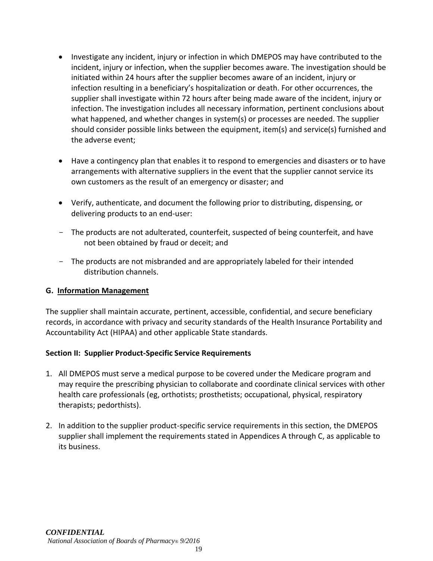- Investigate any incident, injury or infection in which DMEPOS may have contributed to the incident, injury or infection, when the supplier becomes aware. The investigation should be initiated within 24 hours after the supplier becomes aware of an incident, injury or infection resulting in a beneficiary's hospitalization or death. For other occurrences, the supplier shall investigate within 72 hours after being made aware of the incident, injury or infection. The investigation includes all necessary information, pertinent conclusions about what happened, and whether changes in system(s) or processes are needed. The supplier should consider possible links between the equipment, item(s) and service(s) furnished and the adverse event;
- Have a contingency plan that enables it to respond to emergencies and disasters or to have arrangements with alternative suppliers in the event that the supplier cannot service its own customers as the result of an emergency or disaster; and
- Verify, authenticate, and document the following prior to distributing, dispensing, or delivering products to an end-user:
- The products are not adulterated, counterfeit, suspected of being counterfeit, and have not been obtained by fraud or deceit; and
- The products are not misbranded and are appropriately labeled for their intended distribution channels.

# **G. Information Management**

The supplier shall maintain accurate, pertinent, accessible, confidential, and secure beneficiary records, in accordance with privacy and security standards of the Health Insurance Portability and Accountability Act (HIPAA) and other applicable State standards.

# **Section II: Supplier Product-Specific Service Requirements**

- 1. All DMEPOS must serve a medical purpose to be covered under the Medicare program and may require the prescribing physician to collaborate and coordinate clinical services with other health care professionals (eg, orthotists; prosthetists; occupational, physical, respiratory therapists; pedorthists).
- 2. In addition to the supplier product-specific service requirements in this section, the DMEPOS supplier shall implement the requirements stated in Appendices A through C, as applicable to its business.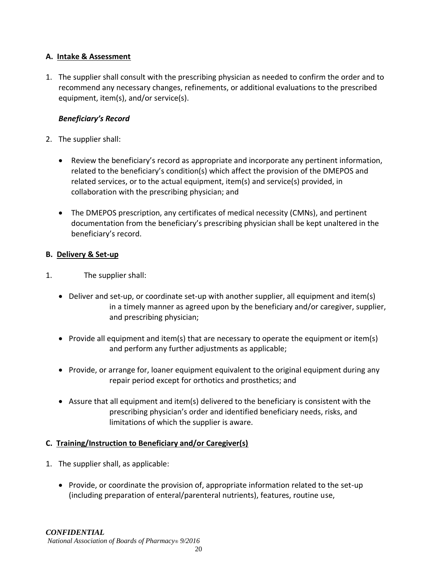# **A. Intake & Assessment**

1. The supplier shall consult with the prescribing physician as needed to confirm the order and to recommend any necessary changes, refinements, or additional evaluations to the prescribed equipment, item(s), and/or service(s).

# *Beneficiary's Record*

- 2. The supplier shall:
	- Review the beneficiary's record as appropriate and incorporate any pertinent information, related to the beneficiary's condition(s) which affect the provision of the DMEPOS and related services, or to the actual equipment, item(s) and service(s) provided, in collaboration with the prescribing physician; and
	- The DMEPOS prescription, any certificates of medical necessity (CMNs), and pertinent documentation from the beneficiary's prescribing physician shall be kept unaltered in the beneficiary's record.

# **B. Delivery & Set-up**

- 1. The supplier shall:
	- Deliver and set-up, or coordinate set-up with another supplier, all equipment and item(s) in a timely manner as agreed upon by the beneficiary and/or caregiver, supplier, and prescribing physician;
	- Provide all equipment and item(s) that are necessary to operate the equipment or item(s) and perform any further adjustments as applicable;
	- Provide, or arrange for, loaner equipment equivalent to the original equipment during any repair period except for orthotics and prosthetics; and
	- Assure that all equipment and item(s) delivered to the beneficiary is consistent with the prescribing physician's order and identified beneficiary needs, risks, and limitations of which the supplier is aware.

# **C. Training/Instruction to Beneficiary and/or Caregiver(s)**

- 1. The supplier shall, as applicable:
	- Provide, or coordinate the provision of, appropriate information related to the set-up (including preparation of enteral/parenteral nutrients), features, routine use,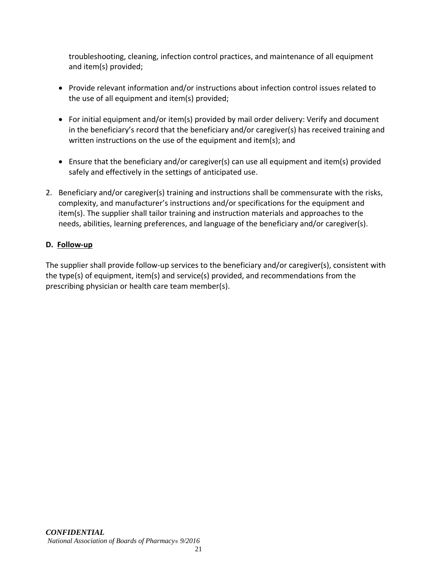troubleshooting, cleaning, infection control practices, and maintenance of all equipment and item(s) provided;

- Provide relevant information and/or instructions about infection control issues related to the use of all equipment and item(s) provided;
- For initial equipment and/or item(s) provided by mail order delivery: Verify and document in the beneficiary's record that the beneficiary and/or caregiver(s) has received training and written instructions on the use of the equipment and item(s); and
- Ensure that the beneficiary and/or caregiver(s) can use all equipment and item(s) provided safely and effectively in the settings of anticipated use.
- 2. Beneficiary and/or caregiver(s) training and instructions shall be commensurate with the risks, complexity, and manufacturer's instructions and/or specifications for the equipment and item(s). The supplier shall tailor training and instruction materials and approaches to the needs, abilities, learning preferences, and language of the beneficiary and/or caregiver(s).

# **D. Follow-up**

The supplier shall provide follow-up services to the beneficiary and/or caregiver(s), consistent with the type(s) of equipment, item(s) and service(s) provided, and recommendations from the prescribing physician or health care team member(s).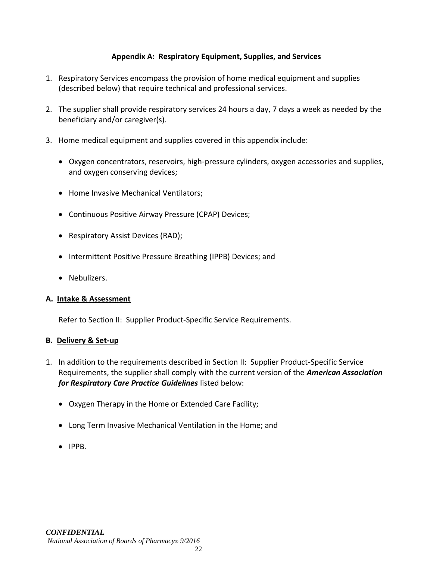### **Appendix A: Respiratory Equipment, Supplies, and Services**

- 1. Respiratory Services encompass the provision of home medical equipment and supplies (described below) that require technical and professional services.
- 2. The supplier shall provide respiratory services 24 hours a day, 7 days a week as needed by the beneficiary and/or caregiver(s).
- 3. Home medical equipment and supplies covered in this appendix include:
	- Oxygen concentrators, reservoirs, high-pressure cylinders, oxygen accessories and supplies, and oxygen conserving devices;
	- Home Invasive Mechanical Ventilators;
	- Continuous Positive Airway Pressure (CPAP) Devices;
	- Respiratory Assist Devices (RAD);
	- Intermittent Positive Pressure Breathing (IPPB) Devices; and
	- Nebulizers.

#### **A. Intake & Assessment**

Refer to Section II: Supplier Product-Specific Service Requirements.

#### **B. Delivery & Set-up**

- 1. In addition to the requirements described in Section II: Supplier Product-Specific Service Requirements, the supplier shall comply with the current version of the *American Association for Respiratory Care Practice Guidelines* listed below:
	- Oxygen Therapy in the Home or Extended Care Facility;
	- Long Term Invasive Mechanical Ventilation in the Home; and
	- IPPB.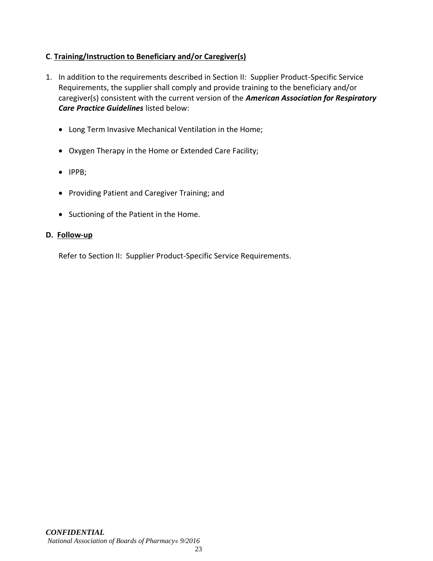# **C**. **Training/Instruction to Beneficiary and/or Caregiver(s)**

- 1. In addition to the requirements described in Section II: Supplier Product-Specific Service Requirements, the supplier shall comply and provide training to the beneficiary and/or caregiver(s) consistent with the current version of the *American Association for Respiratory Care Practice Guidelines* listed below:
	- Long Term Invasive Mechanical Ventilation in the Home;
	- Oxygen Therapy in the Home or Extended Care Facility;
	- IPPB;
	- Providing Patient and Caregiver Training; and
	- Suctioning of the Patient in the Home.

#### **D. Follow-up**

Refer to Section II: Supplier Product-Specific Service Requirements.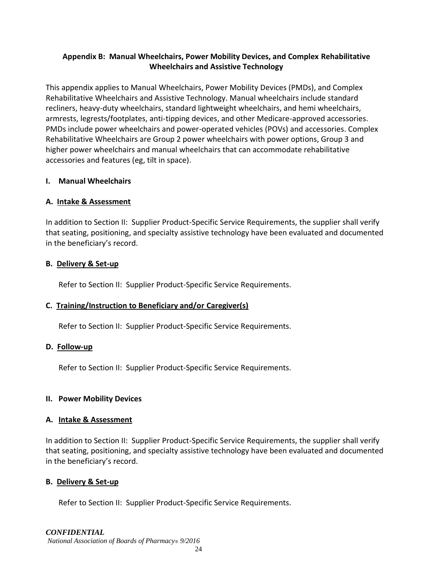# **Appendix B: Manual Wheelchairs, Power Mobility Devices, and Complex Rehabilitative Wheelchairs and Assistive Technology**

This appendix applies to Manual Wheelchairs, Power Mobility Devices (PMDs), and Complex Rehabilitative Wheelchairs and Assistive Technology. Manual wheelchairs include standard recliners, heavy-duty wheelchairs, standard lightweight wheelchairs, and hemi wheelchairs, armrests, legrests/footplates, anti-tipping devices, and other Medicare-approved accessories. PMDs include power wheelchairs and power-operated vehicles (POVs) and accessories. Complex Rehabilitative Wheelchairs are Group 2 power wheelchairs with power options, Group 3 and higher power wheelchairs and manual wheelchairs that can accommodate rehabilitative accessories and features (eg, tilt in space).

#### **I. Manual Wheelchairs**

# **A. Intake & Assessment**

In addition to Section II: Supplier Product-Specific Service Requirements, the supplier shall verify that seating, positioning, and specialty assistive technology have been evaluated and documented in the beneficiary's record.

#### **B. Delivery & Set-up**

Refer to Section II: Supplier Product-Specific Service Requirements.

# **C. Training/Instruction to Beneficiary and/or Caregiver(s)**

Refer to Section II: Supplier Product-Specific Service Requirements.

#### **D. Follow-up**

Refer to Section II: Supplier Product-Specific Service Requirements.

#### **II. Power Mobility Devices**

#### **A. Intake & Assessment**

In addition to Section II: Supplier Product-Specific Service Requirements, the supplier shall verify that seating, positioning, and specialty assistive technology have been evaluated and documented in the beneficiary's record.

# **B. Delivery & Set-up**

Refer to Section II: Supplier Product-Specific Service Requirements.

# *CONFIDENTIAL*

*National Association of Boards of Pharmacy® 9/2016*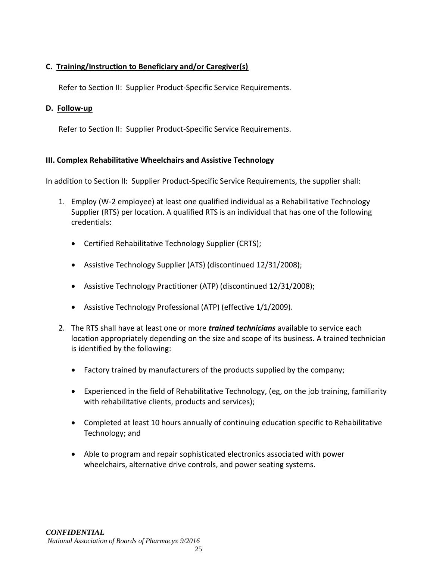# **C. Training/Instruction to Beneficiary and/or Caregiver(s)**

Refer to Section II: Supplier Product-Specific Service Requirements.

#### **D. Follow-up**

Refer to Section II: Supplier Product-Specific Service Requirements.

# **III. Complex Rehabilitative Wheelchairs and Assistive Technology**

In addition to Section II: Supplier Product-Specific Service Requirements, the supplier shall:

- 1. Employ (W-2 employee) at least one qualified individual as a Rehabilitative Technology Supplier (RTS) per location. A qualified RTS is an individual that has one of the following credentials:
	- Certified Rehabilitative Technology Supplier (CRTS);
	- Assistive Technology Supplier (ATS) (discontinued 12/31/2008);
	- Assistive Technology Practitioner (ATP) (discontinued 12/31/2008);
	- Assistive Technology Professional (ATP) (effective 1/1/2009).
- 2. The RTS shall have at least one or more *trained technicians* available to service each location appropriately depending on the size and scope of its business. A trained technician is identified by the following:
	- Factory trained by manufacturers of the products supplied by the company;
	- Experienced in the field of Rehabilitative Technology, (eg, on the job training, familiarity with rehabilitative clients, products and services);
	- Completed at least 10 hours annually of continuing education specific to Rehabilitative Technology; and
	- Able to program and repair sophisticated electronics associated with power wheelchairs, alternative drive controls, and power seating systems.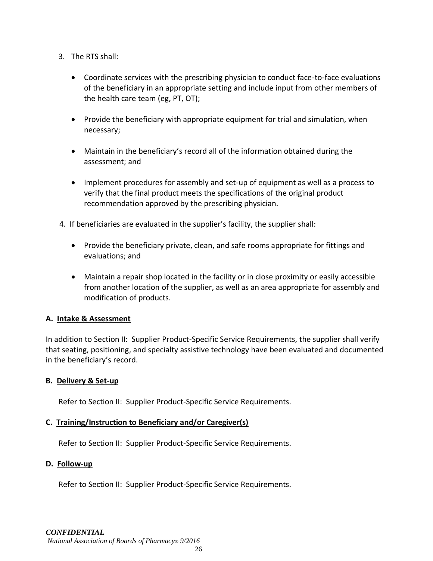- 3. The RTS shall:
	- Coordinate services with the prescribing physician to conduct face-to-face evaluations of the beneficiary in an appropriate setting and include input from other members of the health care team (eg, PT, OT);
	- Provide the beneficiary with appropriate equipment for trial and simulation, when necessary;
	- Maintain in the beneficiary's record all of the information obtained during the assessment; and
	- Implement procedures for assembly and set-up of equipment as well as a process to verify that the final product meets the specifications of the original product recommendation approved by the prescribing physician.
- 4. If beneficiaries are evaluated in the supplier's facility, the supplier shall:
	- Provide the beneficiary private, clean, and safe rooms appropriate for fittings and evaluations; and
	- Maintain a repair shop located in the facility or in close proximity or easily accessible from another location of the supplier, as well as an area appropriate for assembly and modification of products.

#### **A. Intake & Assessment**

In addition to Section II: Supplier Product-Specific Service Requirements, the supplier shall verify that seating, positioning, and specialty assistive technology have been evaluated and documented in the beneficiary's record.

#### **B. Delivery & Set-up**

Refer to Section II: Supplier Product-Specific Service Requirements.

#### **C. Training/Instruction to Beneficiary and/or Caregiver(s)**

Refer to Section II: Supplier Product-Specific Service Requirements.

#### **D. Follow-up**

Refer to Section II: Supplier Product-Specific Service Requirements.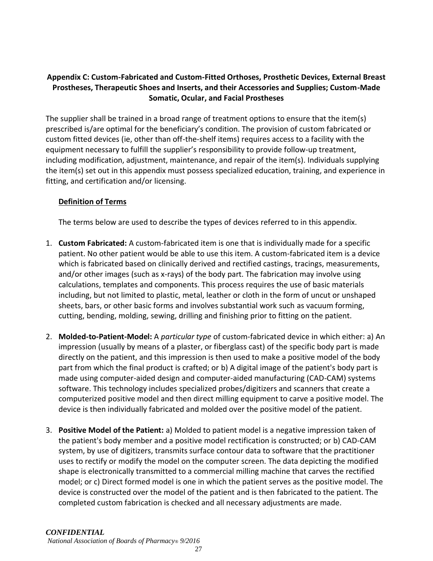# **Appendix C: Custom-Fabricated and Custom-Fitted Orthoses, Prosthetic Devices, External Breast Prostheses, Therapeutic Shoes and Inserts, and their Accessories and Supplies; Custom-Made Somatic, Ocular, and Facial Prostheses**

The supplier shall be trained in a broad range of treatment options to ensure that the item(s) prescribed is/are optimal for the beneficiary's condition. The provision of custom fabricated or custom fitted devices (ie, other than off-the-shelf items) requires access to a facility with the equipment necessary to fulfill the supplier's responsibility to provide follow-up treatment, including modification, adjustment, maintenance, and repair of the item(s). Individuals supplying the item(s) set out in this appendix must possess specialized education, training, and experience in fitting, and certification and/or licensing.

#### **Definition of Terms**

The terms below are used to describe the types of devices referred to in this appendix.

- 1. **Custom Fabricated:** A custom-fabricated item is one that is individually made for a specific patient. No other patient would be able to use this item. A custom-fabricated item is a device which is fabricated based on clinically derived and rectified castings, tracings, measurements, and/or other images (such as x-rays) of the body part. The fabrication may involve using calculations, templates and components. This process requires the use of basic materials including, but not limited to plastic, metal, leather or cloth in the form of uncut or unshaped sheets, bars, or other basic forms and involves substantial work such as vacuum forming, cutting, bending, molding, sewing, drilling and finishing prior to fitting on the patient.
- 2. **Molded-to-Patient-Model:** A *particular type* of custom-fabricated device in which either: a) An impression (usually by means of a plaster, or fiberglass cast) of the specific body part is made directly on the patient, and this impression is then used to make a positive model of the body part from which the final product is crafted; or b) A digital image of the patient's body part is made using computer-aided design and computer-aided manufacturing (CAD-CAM) systems software. This technology includes specialized probes/digitizers and scanners that create a computerized positive model and then direct milling equipment to carve a positive model. The device is then individually fabricated and molded over the positive model of the patient.
- 3. **Positive Model of the Patient:** a) Molded to patient model is a negative impression taken of the patient's body member and a positive model rectification is constructed; or b) CAD-CAM system, by use of digitizers, transmits surface contour data to software that the practitioner uses to rectify or modify the model on the computer screen. The data depicting the modified shape is electronically transmitted to a commercial milling machine that carves the rectified model; or c) Direct formed model is one in which the patient serves as the positive model. The device is constructed over the model of the patient and is then fabricated to the patient. The completed custom fabrication is checked and all necessary adjustments are made.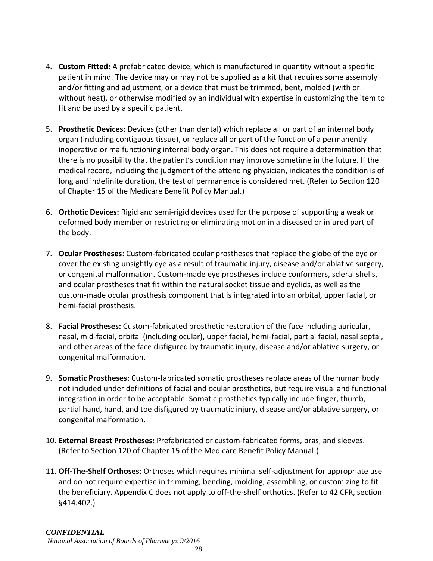- 4. **Custom Fitted:** A prefabricated device, which is manufactured in quantity without a specific patient in mind. The device may or may not be supplied as a kit that requires some assembly and/or fitting and adjustment, or a device that must be trimmed, bent, molded (with or without heat), or otherwise modified by an individual with expertise in customizing the item to fit and be used by a specific patient.
- 5. **Prosthetic Devices:** Devices (other than dental) which replace all or part of an internal body organ (including contiguous tissue), or replace all or part of the function of a permanently inoperative or malfunctioning internal body organ. This does not require a determination that there is no possibility that the patient's condition may improve sometime in the future. If the medical record, including the judgment of the attending physician, indicates the condition is of long and indefinite duration, the test of permanence is considered met. (Refer to Section 120 of Chapter 15 of the Medicare Benefit Policy Manual.)
- 6. **Orthotic Devices:** Rigid and semi-rigid devices used for the purpose of supporting a weak or deformed body member or restricting or eliminating motion in a diseased or injured part of the body.
- 7. **Ocular Prostheses**: Custom-fabricated ocular prostheses that replace the globe of the eye or cover the existing unsightly eye as a result of traumatic injury, disease and/or ablative surgery, or congenital malformation. Custom-made eye prostheses include conformers, scleral shells, and ocular prostheses that fit within the natural socket tissue and eyelids, as well as the custom-made ocular prosthesis component that is integrated into an orbital, upper facial, or hemi-facial prosthesis.
- 8. **Facial Prostheses:** Custom-fabricated prosthetic restoration of the face including auricular, nasal, mid-facial, orbital (including ocular), upper facial, hemi-facial, partial facial, nasal septal, and other areas of the face disfigured by traumatic injury, disease and/or ablative surgery, or congenital malformation.
- 9. **Somatic Prostheses:** Custom-fabricated somatic prostheses replace areas of the human body not included under definitions of facial and ocular prosthetics, but require visual and functional integration in order to be acceptable. Somatic prosthetics typically include finger, thumb, partial hand, hand, and toe disfigured by traumatic injury, disease and/or ablative surgery, or congenital malformation.
- 10. **External Breast Prostheses:** Prefabricated or custom-fabricated forms, bras, and sleeves. (Refer to Section 120 of Chapter 15 of the Medicare Benefit Policy Manual.)
- 11. **Off-The-Shelf Orthoses**: Orthoses which requires minimal self-adjustment for appropriate use and do not require expertise in trimming, bending, molding, assembling, or customizing to fit the beneficiary. Appendix C does not apply to off-the-shelf orthotics. (Refer to 42 CFR, section §414.402.)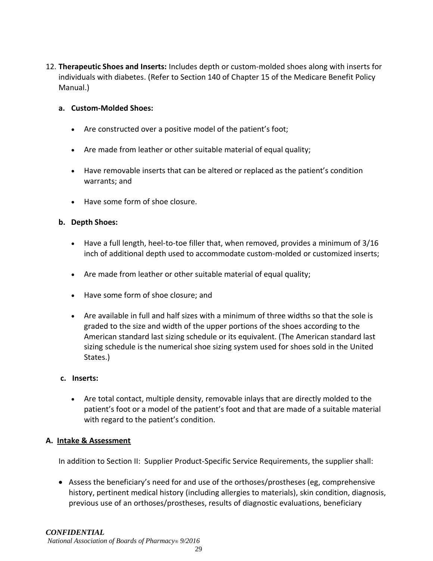12. **Therapeutic Shoes and Inserts:** Includes depth or custom-molded shoes along with inserts for individuals with diabetes. (Refer to Section 140 of Chapter 15 of the Medicare Benefit Policy Manual.)

#### **a. Custom-Molded Shoes:**

- Are constructed over a positive model of the patient's foot;
- Are made from leather or other suitable material of equal quality;
- Have removable inserts that can be altered or replaced as the patient's condition warrants; and
- Have some form of shoe closure.

#### **b. Depth Shoes:**

- Have a full length, heel-to-toe filler that, when removed, provides a minimum of 3/16 inch of additional depth used to accommodate custom-molded or customized inserts;
- Are made from leather or other suitable material of equal quality;
- Have some form of shoe closure; and
- Are available in full and half sizes with a minimum of three widths so that the sole is graded to the size and width of the upper portions of the shoes according to the American standard last sizing schedule or its equivalent. (The American standard last sizing schedule is the numerical shoe sizing system used for shoes sold in the United States.)

#### **c. Inserts:**

• Are total contact, multiple density, removable inlays that are directly molded to the patient's foot or a model of the patient's foot and that are made of a suitable material with regard to the patient's condition.

#### **A. Intake & Assessment**

In addition to Section II: Supplier Product-Specific Service Requirements, the supplier shall:

• Assess the beneficiary's need for and use of the orthoses/prostheses (eg, comprehensive history, pertinent medical history (including allergies to materials), skin condition, diagnosis, previous use of an orthoses/prostheses, results of diagnostic evaluations, beneficiary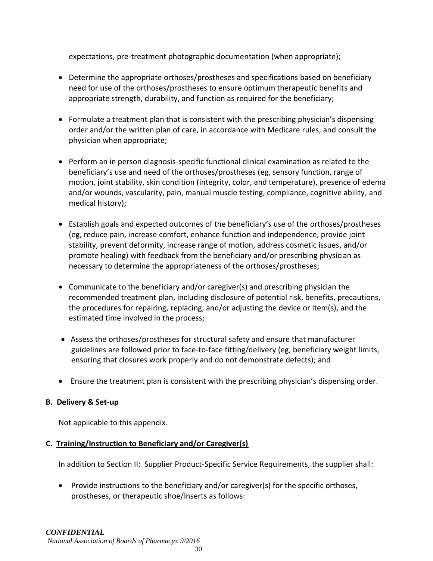expectations, pre-treatment photographic documentation (when appropriate);

- Determine the appropriate orthoses/prostheses and specifications based on beneficiary need for use of the orthoses/prostheses to ensure optimum therapeutic benefits and appropriate strength, durability, and function as required for the beneficiary;
- Formulate a treatment plan that is consistent with the prescribing physician's dispensing order and/or the written plan of care, in accordance with Medicare rules, and consult the physician when appropriate;
- Perform an in person diagnosis-specific functional clinical examination as related to the beneficiary's use and need of the orthoses/prostheses (eg, sensory function, range of motion, joint stability, skin condition (integrity, color, and temperature), presence of edema and/or wounds, vascularity, pain, manual muscle testing, compliance, cognitive ability, and medical history);
- Establish goals and expected outcomes of the beneficiary's use of the orthoses/prostheses (eg, reduce pain, increase comfort, enhance function and independence, provide joint stability, prevent deformity, increase range of motion, address cosmetic issues, and/or promote healing) with feedback from the beneficiary and/or prescribing physician as necessary to determine the appropriateness of the orthoses/prostheses;
- Communicate to the beneficiary and/or caregiver(s) and prescribing physician the recommended treatment plan, including disclosure of potential risk, benefits, precautions, the procedures for repairing, replacing, and/or adjusting the device or item(s), and the estimated time involved in the process;
- Assess the orthoses/prostheses for structural safety and ensure that manufacturer guidelines are followed prior to face-to-face fitting/delivery (eg, beneficiary weight limits, ensuring that closures work properly and do not demonstrate defects); and
- Ensure the treatment plan is consistent with the prescribing physician's dispensing order.

# **B. Delivery & Set-up**

Not applicable to this appendix.

# **C. Training/Instruction to Beneficiary and/or Caregiver(s)**

In addition to Section II: Supplier Product-Specific Service Requirements, the supplier shall:

• Provide instructions to the beneficiary and/or caregiver(s) for the specific orthoses, prostheses, or therapeutic shoe/inserts as follows: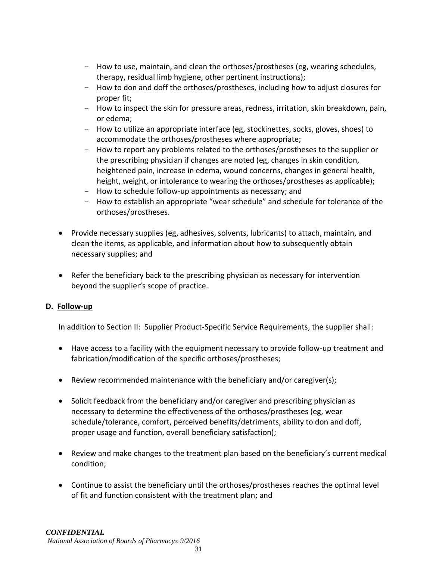- How to use, maintain, and clean the orthoses/prostheses (eg, wearing schedules, therapy, residual limb hygiene, other pertinent instructions);
- How to don and doff the orthoses/prostheses, including how to adjust closures for proper fit;
- How to inspect the skin for pressure areas, redness, irritation, skin breakdown, pain, or edema;
- How to utilize an appropriate interface (eg, stockinettes, socks, gloves, shoes) to accommodate the orthoses/prostheses where appropriate;
- How to report any problems related to the orthoses/prostheses to the supplier or the prescribing physician if changes are noted (eg, changes in skin condition, heightened pain, increase in edema, wound concerns, changes in general health, height, weight, or intolerance to wearing the orthoses/prostheses as applicable);
- How to schedule follow-up appointments as necessary; and
- How to establish an appropriate "wear schedule" and schedule for tolerance of the orthoses/prostheses.
- Provide necessary supplies (eg, adhesives, solvents, lubricants) to attach, maintain, and clean the items, as applicable, and information about how to subsequently obtain necessary supplies; and
- Refer the beneficiary back to the prescribing physician as necessary for intervention beyond the supplier's scope of practice.

# **D. Follow-up**

In addition to Section II: Supplier Product-Specific Service Requirements, the supplier shall:

- Have access to a facility with the equipment necessary to provide follow-up treatment and fabrication/modification of the specific orthoses/prostheses;
- Review recommended maintenance with the beneficiary and/or caregiver(s);
- Solicit feedback from the beneficiary and/or caregiver and prescribing physician as necessary to determine the effectiveness of the orthoses/prostheses (eg, wear schedule/tolerance, comfort, perceived benefits/detriments, ability to don and doff, proper usage and function, overall beneficiary satisfaction);
- Review and make changes to the treatment plan based on the beneficiary's current medical condition;
- Continue to assist the beneficiary until the orthoses/prostheses reaches the optimal level of fit and function consistent with the treatment plan; and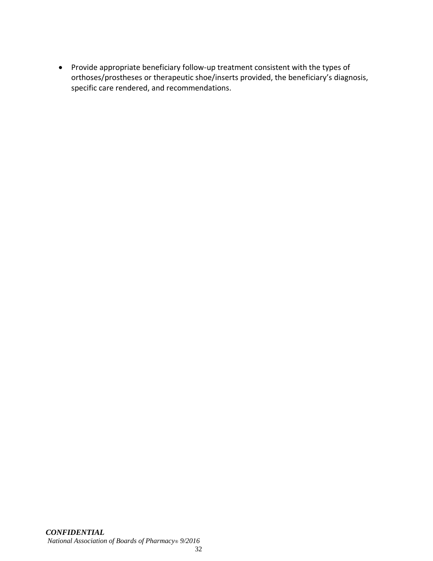• Provide appropriate beneficiary follow-up treatment consistent with the types of orthoses/prostheses or therapeutic shoe/inserts provided, the beneficiary's diagnosis, specific care rendered, and recommendations.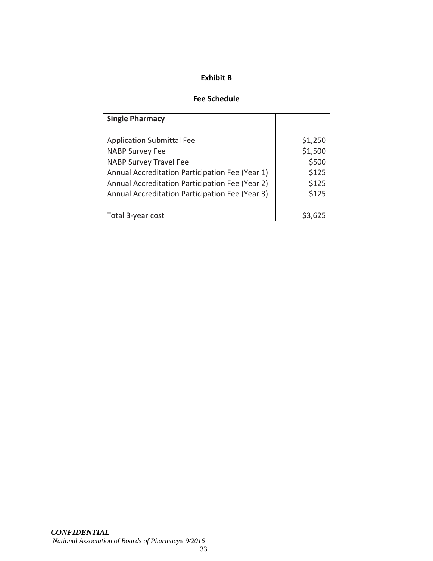#### **Exhibit B**

# **Fee Schedule**

| <b>Single Pharmacy</b>                          |         |
|-------------------------------------------------|---------|
|                                                 |         |
| <b>Application Submittal Fee</b>                | \$1,250 |
| <b>NABP Survey Fee</b>                          | \$1,500 |
| <b>NABP Survey Travel Fee</b>                   | \$500   |
| Annual Accreditation Participation Fee (Year 1) | \$125   |
| Annual Accreditation Participation Fee (Year 2) | \$125   |
| Annual Accreditation Participation Fee (Year 3) | \$125   |
|                                                 |         |
| Total 3-year cost                               |         |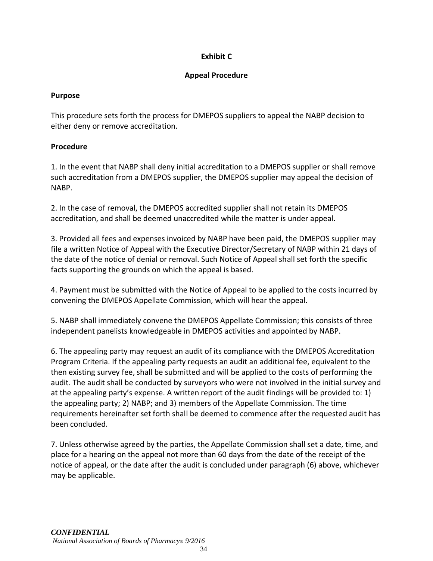# **Exhibit C**

# **Appeal Procedure**

### **Purpose**

This procedure sets forth the process for DMEPOS suppliers to appeal the NABP decision to either deny or remove accreditation.

# **Procedure**

1. In the event that NABP shall deny initial accreditation to a DMEPOS supplier or shall remove such accreditation from a DMEPOS supplier, the DMEPOS supplier may appeal the decision of NABP.

2. In the case of removal, the DMEPOS accredited supplier shall not retain its DMEPOS accreditation, and shall be deemed unaccredited while the matter is under appeal.

3. Provided all fees and expenses invoiced by NABP have been paid, the DMEPOS supplier may file a written Notice of Appeal with the Executive Director/Secretary of NABP within 21 days of the date of the notice of denial or removal. Such Notice of Appeal shall set forth the specific facts supporting the grounds on which the appeal is based.

4. Payment must be submitted with the Notice of Appeal to be applied to the costs incurred by convening the DMEPOS Appellate Commission, which will hear the appeal.

5. NABP shall immediately convene the DMEPOS Appellate Commission; this consists of three independent panelists knowledgeable in DMEPOS activities and appointed by NABP.

6. The appealing party may request an audit of its compliance with the DMEPOS Accreditation Program Criteria. If the appealing party requests an audit an additional fee, equivalent to the then existing survey fee, shall be submitted and will be applied to the costs of performing the audit. The audit shall be conducted by surveyors who were not involved in the initial survey and at the appealing party's expense. A written report of the audit findings will be provided to: 1) the appealing party; 2) NABP; and 3) members of the Appellate Commission. The time requirements hereinafter set forth shall be deemed to commence after the requested audit has been concluded.

7. Unless otherwise agreed by the parties, the Appellate Commission shall set a date, time, and place for a hearing on the appeal not more than 60 days from the date of the receipt of the notice of appeal, or the date after the audit is concluded under paragraph (6) above, whichever may be applicable.